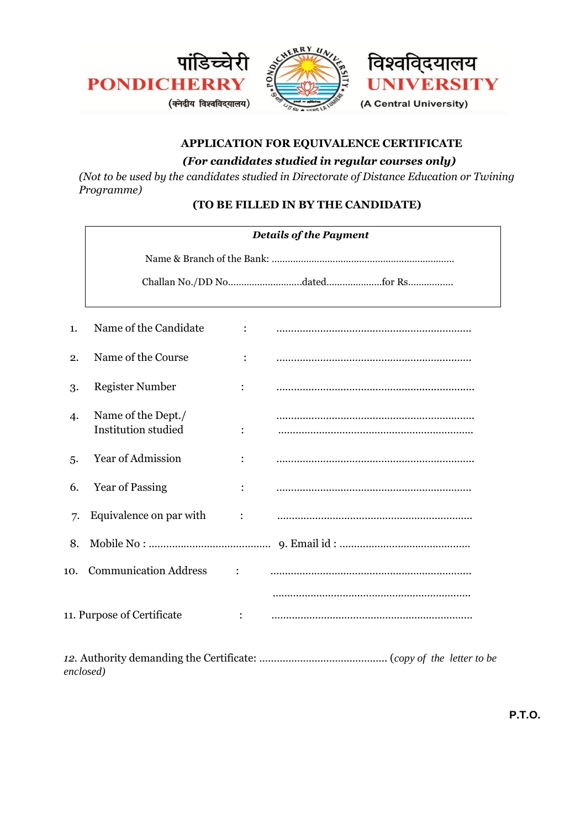

# **APPLICATION FOR EQUIVALENCE CERTIFICATE**

# *(For candidates studied in regular courses only)*

*(Not to be used by the candidates studied in Directorate of Distance Education or Twining Programme)* 

## **(TO BE FILLED IN BY THE CANDIDATE)**

|                            | <b>Details of the Payment</b>                    |                |  |  |  |
|----------------------------|--------------------------------------------------|----------------|--|--|--|
|                            |                                                  |                |  |  |  |
|                            |                                                  |                |  |  |  |
|                            |                                                  |                |  |  |  |
| 1.                         | Name of the Candidate                            |                |  |  |  |
| 2.                         | Name of the Course                               | $\ddot{\cdot}$ |  |  |  |
| 3.                         | <b>Register Number</b>                           | :              |  |  |  |
| 4.                         | Name of the Dept./<br><b>Institution studied</b> |                |  |  |  |
| 5.                         | Year of Admission                                |                |  |  |  |
| 6.                         | <b>Year of Passing</b>                           |                |  |  |  |
| 7.                         | Equivalence on par with                          | :              |  |  |  |
| 8.                         |                                                  |                |  |  |  |
| 10.                        | <b>Communication Address</b>                     | $\ddot{\cdot}$ |  |  |  |
|                            |                                                  |                |  |  |  |
| 11. Purpose of Certificate |                                                  |                |  |  |  |

*12.* Authority demanding the Certificate: …………………………………….. (*copy of the letter to be enclosed)*